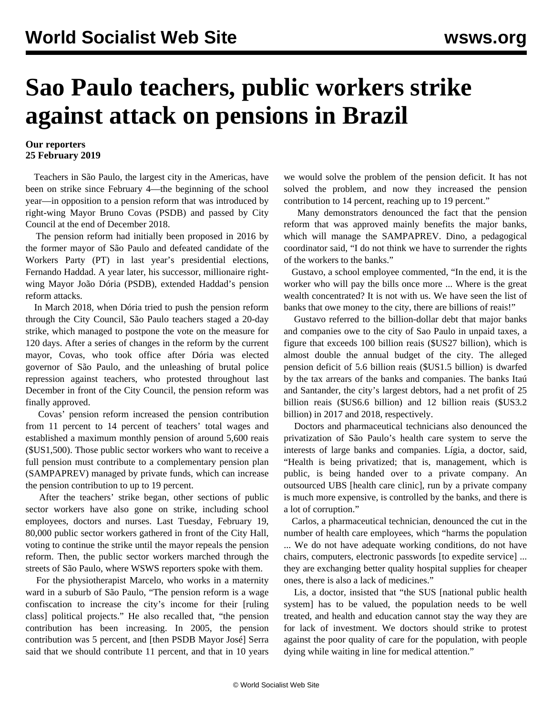## **Sao Paulo teachers, public workers strike against attack on pensions in Brazil**

## **Our reporters 25 February 2019**

 Teachers in São Paulo, the largest city in the Americas, have been on strike since February 4—the beginning of the school year—in opposition to a pension reform that was introduced by right-wing Mayor Bruno Covas (PSDB) and passed by City Council at the end of December 2018.

 The pension reform had initially been proposed in 2016 by the former mayor of São Paulo and defeated candidate of the Workers Party (PT) in last year's presidential elections, Fernando Haddad. A year later, his successor, millionaire rightwing Mayor João Dória (PSDB), extended Haddad's pension reform attacks.

 In March 2018, when Dória tried to push the pension reform through the City Council, São Paulo teachers staged a 20-day strike, which managed to postpone the vote on the measure for 120 days. After a series of changes in the reform by the current mayor, Covas, who took office after Dória was elected governor of São Paulo, and the unleashing of brutal police repression against teachers, who protested throughout last December in front of the City Council, the pension reform was finally approved.

 Covas' pension reform increased the pension contribution from 11 percent to 14 percent of teachers' total wages and established a maximum monthly pension of around 5,600 reais (\$US1,500). Those public sector workers who want to receive a full pension must contribute to a complementary pension plan (SAMPAPREV) managed by private funds, which can increase the pension contribution to up to 19 percent.

 After the teachers' strike began, other sections of public sector workers have also gone on strike, including school employees, doctors and nurses. Last Tuesday, February 19, 80,000 public sector workers gathered in front of the City Hall, voting to continue the strike until the mayor repeals the pension reform. Then, the public sector workers marched through the streets of São Paulo, where WSWS reporters spoke with them.

 For the physiotherapist Marcelo, who works in a maternity ward in a suburb of São Paulo, "The pension reform is a wage confiscation to increase the city's income for their [ruling class] political projects." He also recalled that, "the pension contribution has been increasing. In 2005, the pension contribution was 5 percent, and [then PSDB Mayor José] Serra said that we should contribute 11 percent, and that in 10 years we would solve the problem of the pension deficit. It has not solved the problem, and now they increased the pension contribution to 14 percent, reaching up to 19 percent."

 Many demonstrators denounced the fact that the pension reform that was approved mainly benefits the major banks, which will manage the SAMPAPREV. Dino, a pedagogical coordinator said, "I do not think we have to surrender the rights of the workers to the banks."

 Gustavo, a school employee commented, "In the end, it is the worker who will pay the bills once more ... Where is the great wealth concentrated? It is not with us. We have seen the list of banks that owe money to the city, there are billions of reais!"

 Gustavo referred to the billion-dollar debt that major banks and companies owe to the city of Sao Paulo in unpaid taxes, a figure that exceeds 100 billion reais (\$US27 billion), which is almost double the annual budget of the city. The alleged pension deficit of 5.6 billion reais (\$US1.5 billion) is dwarfed by the tax arrears of the banks and companies. The banks Itaú and Santander, the city's largest debtors, had a net profit of 25 billion reais (\$US6.6 billion) and 12 billion reais (\$US3.2 billion) in 2017 and 2018, respectively.

 Doctors and pharmaceutical technicians also denounced the privatization of São Paulo's health care system to serve the interests of large banks and companies. Lígia, a doctor, said, "Health is being privatized; that is, management, which is public, is being handed over to a private company. An outsourced UBS [health care clinic], run by a private company is much more expensive, is controlled by the banks, and there is a lot of corruption."

 Carlos, a pharmaceutical technician, denounced the cut in the number of health care employees, which "harms the population ... We do not have adequate working conditions, do not have chairs, computers, electronic passwords [to expedite service] ... they are exchanging better quality hospital supplies for cheaper ones, there is also a lack of medicines."

 Lis, a doctor, insisted that "the SUS [national public health system] has to be valued, the population needs to be well treated, and health and education cannot stay the way they are for lack of investment. We doctors should strike to protest against the poor quality of care for the population, with people dying while waiting in line for medical attention."